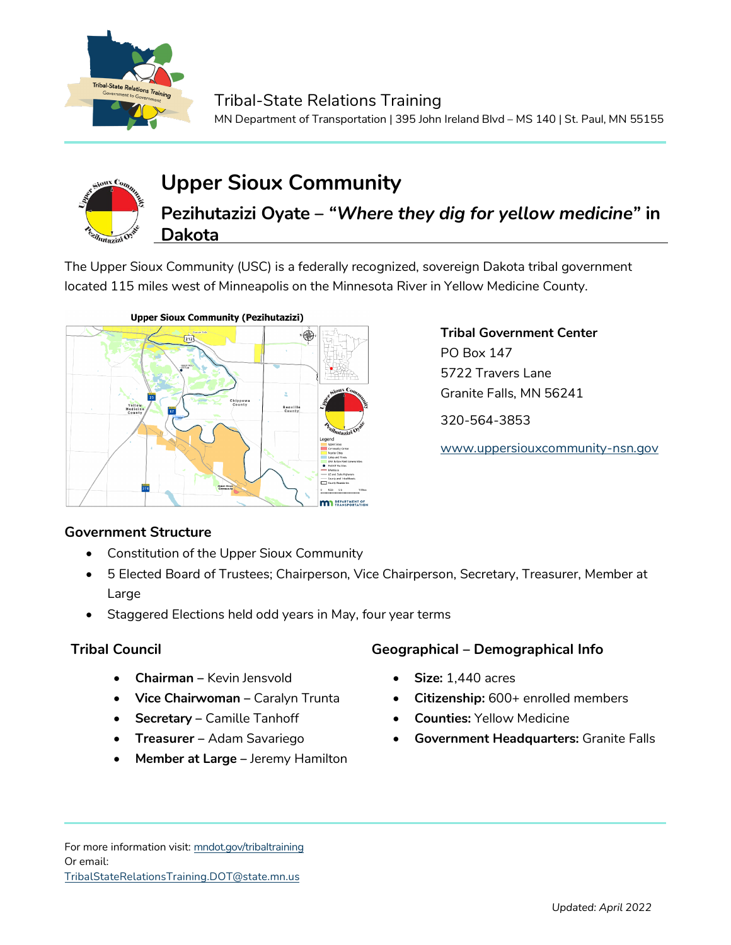



# **Upper Sioux Community**

**Pezihutazizi Oyate –** *"Where they dig for yellow medicine"* **in Dakota**

The Upper Sioux Community (USC) is a federally recognized, sovereign Dakota tribal government located 115 miles west of Minneapolis on the Minnesota River in Yellow Medicine County.



**Tribal Government Center** PO Box 147 5722 Travers Lane Granite Falls, MN 56241 320-564-3853

[www.uppersiouxcommunity-nsn.gov](http://www.uppersiouxcommunity-nsn.gov/)

## **Government Structure**

- Constitution of the Upper Sioux Community
- 5 Elected Board of Trustees; Chairperson, Vice Chairperson, Secretary, Treasurer, Member at Large
- Staggered Elections held odd years in May, four year terms

- **Chairman –** Kevin Jensvold
- **Vice Chairwoman –** Caralyn Trunta
- **Secretary –** Camille Tanhoff
- **Treasurer –** Adam Savariego
- **Member at Large –** Jeremy Hamilton

## **Tribal Council Geographical – Demographical Info**

- **Size:** 1,440 acres
- **Citizenship:** 600+ enrolled members
- **Counties:** Yellow Medicine
- **Government Headquarters:** Granite Falls